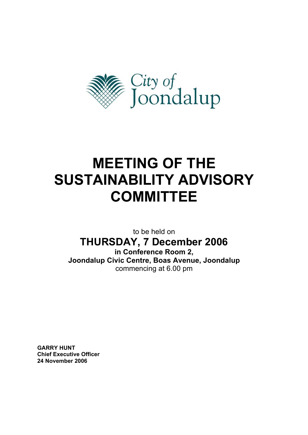

# **MEETING OF THE SUSTAINABILITY ADVISORY COMMITTEE**

to be held on **THURSDAY, 7 December 2006 in Conference Room 2, Joondalup Civic Centre, Boas Avenue, Joondalup**  commencing at 6.00 pm

**GARRY HUNT Chief Executive Officer 24 November 2006**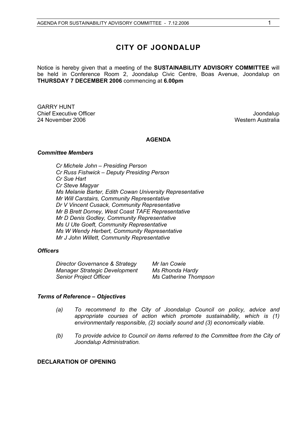# **CITY OF JOONDALUP**

Notice is hereby given that a meeting of the **SUSTAINABILITY ADVISORY COMMITTEE** will be held in Conference Room 2, Joondalup Civic Centre, Boas Avenue, Joondalup on **THURSDAY 7 DECEMBER 2006** commencing at **6.00pm** 

GARRY HUNT **Chief Executive Officer**   $\blacksquare$   $\blacksquare$   $\blacksquare$   $\blacksquare$   $\blacksquare$   $\blacksquare$   $\blacksquare$   $\blacksquare$   $\blacksquare$   $\blacksquare$   $\blacksquare$   $\blacksquare$   $\blacksquare$   $\blacksquare$   $\blacksquare$   $\blacksquare$   $\blacksquare$   $\blacksquare$   $\blacksquare$   $\blacksquare$   $\blacksquare$   $\blacksquare$   $\blacksquare$   $\blacksquare$   $\blacksquare$   $\blacksquare$   $\blacksquare$   $\blacksquare$ 24 November 2006 November 2006 November 2006

# **AGENDA**

#### *Committee Members*

*Cr Michele John – Presiding Person Cr Russ Fishwick – Deputy Presiding Person Cr Sue Hart Cr Steve Magyar Ms Melanie Barter, Edith Cowan University Representative Mr Will Carstairs, Community Representative Dr V Vincent Cusack, Community Representative Mr B Brett Dorney, West Coast TAFE Representative Mr D Denis Godley, Community Representative Ms U Ute Goeft, Community Representative Ms W Wendy Herbert, Community Representative Mr J John Willett, Community Representative* 

#### *Officers*

| Director Governance & Strategy       | Mr Ian Cowie          |
|--------------------------------------|-----------------------|
| <b>Manager Strategic Development</b> | Ms Rhonda Hardy       |
| <b>Senior Project Officer</b>        | Ms Catherine Thompson |

#### *Terms of Reference – Objectives*

- *(a) To recommend to the City of Joondalup Council on policy, advice and appropriate courses of action which promote sustainability, which is (1) environmentally responsible, (2) socially sound and (3) economically viable.*
- *(b) To provide advice to Council on items referred to the Committee from the City of Joondalup Administration.*

## **DECLARATION OF OPENING**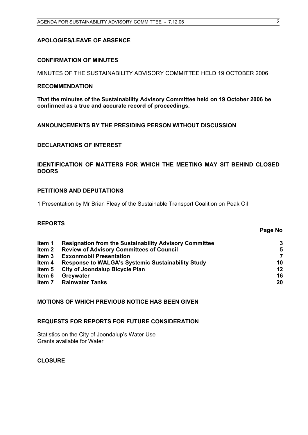# **APOLOGIES/LEAVE OF ABSENCE**

# **CONFIRMATION OF MINUTES**

# MINUTES OF THE SUSTAINABILITY ADVISORY COMMITTEE HELD 19 OCTOBER 2006

## **RECOMMENDATION**

**That the minutes of the Sustainability Advisory Committee held on 19 October 2006 be confirmed as a true and accurate record of proceedings.** 

# **ANNOUNCEMENTS BY THE PRESIDING PERSON WITHOUT DISCUSSION**

# **DECLARATIONS OF INTEREST**

# **IDENTIFICATION OF MATTERS FOR WHICH THE MEETING MAY SIT BEHIND CLOSED DOORS**

# **PETITIONS AND DEPUTATIONS**

1 Presentation by Mr Brian Fleay of the Sustainable Transport Coalition on Peak Oil

# **REPORTS**

|                   |                                                               | Page No        |
|-------------------|---------------------------------------------------------------|----------------|
| Item 1            | <b>Resignation from the Sustainability Advisory Committee</b> | 3              |
| Item <sub>2</sub> | <b>Review of Advisory Committees of Council</b>               | 5              |
| Item <sub>3</sub> | <b>Exxonmobil Presentation</b>                                | $\overline{7}$ |
| Item 4            | <b>Response to WALGA's Systemic Sustainability Study</b>      | 10             |
| Item 5            | <b>City of Joondalup Bicycle Plan</b>                         | $12 \,$        |
| Item 6            | Greywater                                                     | 16             |
| Item 7            | <b>Rainwater Tanks</b>                                        | 20             |

# **MOTIONS OF WHICH PREVIOUS NOTICE HAS BEEN GIVEN**

# **REQUESTS FOR REPORTS FOR FUTURE CONSIDERATION**

Statistics on the City of Joondalup's Water Use Grants available for Water

**CLOSURE**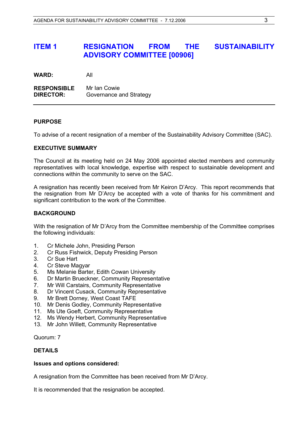# **ITEM 1 RESIGNATION FROM THE SUSTAINABILITY ADVISORY COMMITTEE [00906]**

| <b>WARD:</b> | All |
|--------------|-----|
|              |     |

**RESPONSIBLE** Mr Ian Cowie **DIRECTOR:** Governance and Strategy

# **PURPOSE**

To advise of a recent resignation of a member of the Sustainability Advisory Committee (SAC).

## **EXECUTIVE SUMMARY**

The Council at its meeting held on 24 May 2006 appointed elected members and community representatives with local knowledge, expertise with respect to sustainable development and connections within the community to serve on the SAC.

A resignation has recently been received from Mr Keiron D'Arcy. This report recommends that the resignation from Mr D'Arcy be accepted with a vote of thanks for his commitment and significant contribution to the work of the Committee.

## **BACKGROUND**

With the resignation of Mr D'Arcy from the Committee membership of the Committee comprises the following individuals:

- 1. Cr Michele John, Presiding Person
- 2. Cr Russ Fishwick, Deputy Presiding Person
- 3. Cr Sue Hart
- 4. Cr Steve Magyar
- 5. Ms Melanie Barter, Edith Cowan University
- 6. Dr Martin Brueckner, Community Representative
- 7. Mr Will Carstairs, Community Representative
- 8. Dr Vincent Cusack, Community Representative
- 9. Mr Brett Dorney, West Coast TAFE
- 10. Mr Denis Godley, Community Representative
- 11. Ms Ute Goeft, Community Representative
- 12. Ms Wendy Herbert, Community Representative
- 13. Mr John Willett, Community Representative

Quorum: 7

# **DETAILS**

#### **Issues and options considered:**

A resignation from the Committee has been received from Mr D'Arcy.

It is recommended that the resignation be accepted.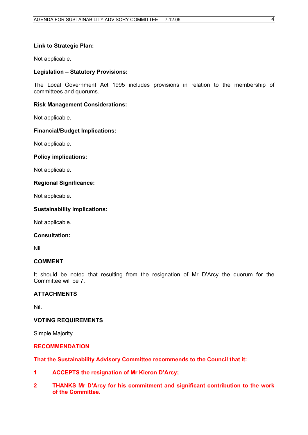# **Link to Strategic Plan:**

Not applicable.

# **Legislation – Statutory Provisions:**

The Local Government Act 1995 includes provisions in relation to the membership of committees and quorums.

# **Risk Management Considerations:**

Not applicable.

## **Financial/Budget Implications:**

Not applicable.

## **Policy implications:**

Not applicable.

## **Regional Significance:**

Not applicable.

## **Sustainability Implications:**

Not applicable.

#### **Consultation:**

Nil.

# **COMMENT**

It should be noted that resulting from the resignation of Mr D'Arcy the quorum for the Committee will be 7.

# **ATTACHMENTS**

Nil.

# **VOTING REQUIREMENTS**

Simple Majority

# **RECOMMENDATION**

**That the Sustainability Advisory Committee recommends to the Council that it:** 

- **1 ACCEPTS the resignation of Mr Kieron D'Arcy;**
- **2 THANKS Mr D'Arcy for his commitment and significant contribution to the work of the Committee.**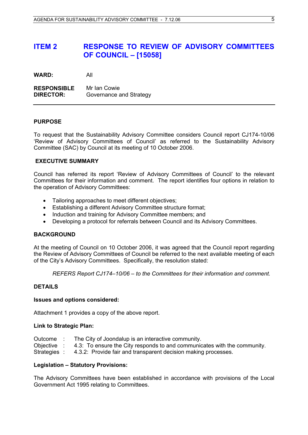# **ITEM 2 RESPONSE TO REVIEW OF ADVISORY COMMITTEES OF COUNCIL – [15058]**

**WARD:** All

**RESPONSIBLE** Mr Ian Cowie **DIRECTOR:** Governance and Strategy

## **PURPOSE**

To request that the Sustainability Advisory Committee considers Council report CJ174-10/06 'Review of Advisory Committees of Council' as referred to the Sustainability Advisory Committee (SAC) by Council at its meeting of 10 October 2006.

## **EXECUTIVE SUMMARY**

Council has referred its report 'Review of Advisory Committees of Council' to the relevant Committees for their information and comment. The report identifies four options in relation to the operation of Advisory Committees:

- Tailoring approaches to meet different objectives;
- Establishing a different Advisory Committee structure format;
- Induction and training for Advisory Committee members; and
- Developing a protocol for referrals between Council and its Advisory Committees.

#### **BACKGROUND**

At the meeting of Council on 10 October 2006, it was agreed that the Council report regarding the Review of Advisory Committees of Council be referred to the next available meeting of each of the City's Advisory Committees. Specifically, the resolution stated:

*REFERS Report CJ174–10/06 – to the Committees for their information and comment.* 

#### **DETAILS**

#### **Issues and options considered:**

Attachment 1 provides a copy of the above report.

#### **Link to Strategic Plan:**

Outcome : The City of Joondalup is an interactive community. Objective : 4.3: To ensure the City responds to and communicates with the community. Strategies : 4.3.2: Provide fair and transparent decision making processes.

#### **Legislation – Statutory Provisions:**

The Advisory Committees have been established in accordance with provisions of the Local Government Act 1995 relating to Committees.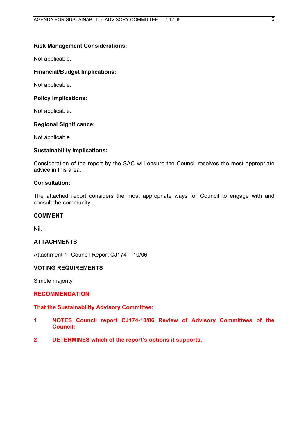# **Risk Management Considerations:**

Not applicable.

# **Financial/Budget Implications:**

Not applicable.

# **Policy Implications:**

Not applicable.

# **Regional Significance:**

Not applicable.

# **Sustainability Implications:**

Consideration of the report by the SAC will ensure the Council receives the most appropriate advice in this area.

## **Consultation:**

The attached report considers the most appropriate ways for Council to engage with and consult the community.

# **COMMENT**

Nil.

# **ATTACHMENTS**

Attachment 1 Council Report CJ174 – 10/06

# **VOTING REQUIREMENTS**

Simple majority

# **RECOMMENDATION**

# **That the Sustainability Advisory Committee:**

- **1 NOTES Council report CJ174-10/06 Review of Advisory Committees of the Council;**
- **2 DETERMINES which of the report's options it supports.**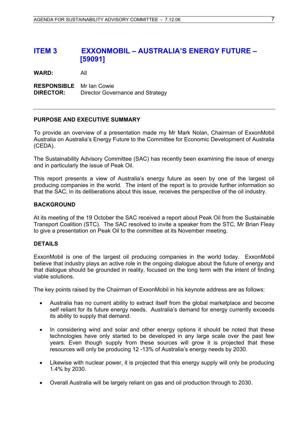# **ITEM 3 EXXONMOBIL – AUSTRALIA'S ENERGY FUTURE – [59091]**

**WARD:** All

**RESPONSIBLE** Mr Ian Cowie **DIRECTOR:** Director Governance and Strategy

## **PURPOSE AND EXECUTIVE SUMMARY**

To provide an overview of a presentation made my Mr Mark Nolan, Chairman of ExxonMobil Australia on Australia's Energy Future to the Committee for Economic Development of Australia (CEDA).

The Sustainability Advisory Committee (SAC) has recently been examining the issue of energy and in particularly the issue of Peak Oil.

This report presents a view of Australia's energy future as seen by one of the largest oil producing companies in the world. The intent of the report is to provide further information so that the SAC, in its deliberations about this issue, receives the perspective of the oil industry.

#### **BACKGROUND**

At its meeting of the 19 October the SAC received a report about Peak Oil from the Sustainable Transport Coalition (STC). The SAC resolved to invite a speaker from the STC, Mr Brian Fleay to give a presentation on Peak Oil to the committee at its November meeting.

#### **DETAILS**

ExxonMobil is one of the largest oil producing companies in the world today. ExxonMobil believe that industry plays an active role in the ongoing dialogue about the future of energy and that dialogue should be grounded in reality, focused on the long term with the intent of finding viable solutions.

The key points raised by the Chairman of ExxonMobil in his keynote address are as follows:

- Australia has no current ability to extract itself from the global marketplace and become self reliant for its future energy needs. Australia's demand for energy currently exceeds its ability to supply that demand. •
- In considering wind and solar and other energy options it should be noted that these technologies have only started to be developed in any large scale over the past few years. Even though supply from these sources will grow it is projected that these resources will only be producing 12 -13% of Australia's energy needs by 2030.
- Likewise with nuclear power, it is projected that this energy supply will only be producing 1.4% by 2030.
- Overall Australia will be largely reliant on gas and oil production through to 2030.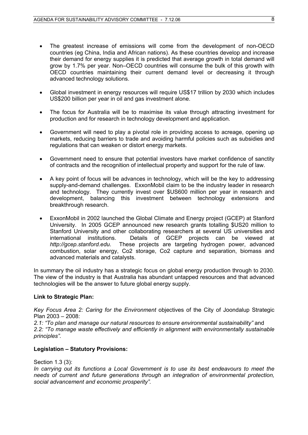- The greatest increase of emissions will come from the development of non-OECD countries (eg China, India and African nations). As these countries develop and increase their demand for energy supplies it is predicted that average growth in total demand will grow by 1.7% per year. Non–OECD countries will consume the bulk of this growth with OECD countries maintaining their current demand level or decreasing it through advanced technology solutions. •
- Global investment in energy resources will require US\$17 trillion by 2030 which includes US\$200 billion per year in oil and gas investment alone.
- The focus for Australia will be to maximise its value through attracting investment for production and for research in technology development and application.
- Government will need to play a pivotal role in providing access to acreage, opening up markets, reducing barriers to trade and avoiding harmful policies such as subsidies and regulations that can weaken or distort energy markets.
- Government need to ensure that potential investors have market confidence of sanctity of contracts and the recognition of intellectual property and support for the rule of law.
- A key point of focus will be advances in technology, which will be the key to addressing supply-and-demand challenges. ExxonMobil claim to be the industry leader in research and technology. They currently invest over \$US600 million per year in research and development, balancing this investment between technology extensions and breakthrough research.
- ExxonMobil in 2002 launched the Global Climate and Energy project (GCEP) at Stanford University. In 2005 GCEP announced new research grants totalling \$US20 million to Stanford University and other collaborating researchers at several US universities and international institutions. Details of GCEP projects can be viewed at *http://gcep.stanford.edu*. These projects are targeting hydrogen power, advanced combustion, solar energy, Co2 storage, Co2 capture and separation, biomass and advanced materials and catalysts.

In summary the oil industry has a strategic focus on global energy production through to 2030. The view of the industry is that Australia has abundant untapped resources and that advanced technologies will be the answer to future global energy supply.

# **Link to Strategic Plan:**

*Key Focus Area 2: Caring for the Environment* objectives of the City of Joondalup Strategic Plan 2003 – 2008:

*2.1: "To plan and manage our natural resources to ensure environmental sustainability"* and *2.2: "To manage waste effectively and efficiently in alignment with environmentally sustainable principles".*

# **Legislation – Statutory Provisions:**

Section 1.3 (3):

*In carrying out its functions a Local Government is to use its best endeavours to meet the needs of current and future generations through an integration of environmental protection, social advancement and economic prosperity".*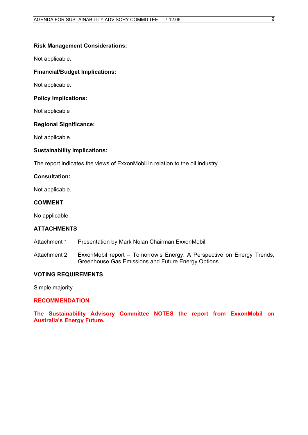# **Risk Management Considerations:**

Not applicable.

# **Financial/Budget Implications:**

Not applicable.

# **Policy Implications:**

Not applicable

# **Regional Significance:**

Not applicable.

# **Sustainability Implications:**

The report indicates the views of ExxonMobil in relation to the oil industry.

## **Consultation:**

Not applicable.

# **COMMENT**

No applicable.

# **ATTACHMENTS**

Attachment 1 Presentation by Mark Nolan Chairman ExxonMobil

Attachment 2 ExxonMobil report – Tomorrow's Energy: A Perspective on Energy Trends, Greenhouse Gas Emissions and Future Energy Options

# **VOTING REQUIREMENTS**

Simple majority

# **RECOMMENDATION**

**The Sustainability Advisory Committee NOTES the report from ExxonMobil on Australia's Energy Future.**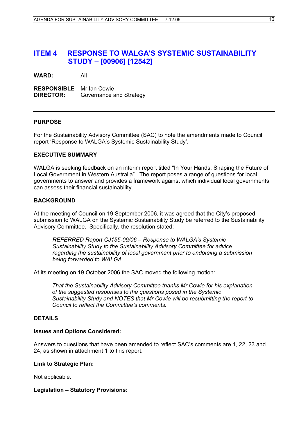# **ITEM 4 RESPONSE TO WALGA'S SYSTEMIC SUSTAINABILITY STUDY – [00906] [12542]**

**WARD:** All

**RESPONSIBLE** Mr Ian Cowie **DIRECTOR:** Governance and Strategy

## **PURPOSE**

For the Sustainability Advisory Committee (SAC) to note the amendments made to Council report 'Response to WALGA's Systemic Sustainability Study'.

#### **EXECUTIVE SUMMARY**

WALGA is seeking feedback on an interim report titled "In Your Hands; Shaping the Future of Local Government in Western Australia". The report poses a range of questions for local governments to answer and provides a framework against which individual local governments can assess their financial sustainability.

# **BACKGROUND**

At the meeting of Council on 19 September 2006, it was agreed that the City's proposed submission to WALGA on the Systemic Sustainability Study be referred to the Sustainability Advisory Committee. Specifically, the resolution stated:

*REFERRED Report CJ155-09/06 – Response to WALGA's Systemic Sustainability Study to the Sustainability Advisory Committee for advice regarding the sustainability of local government prior to endorsing a submission being forwarded to WALGA.* 

At its meeting on 19 October 2006 the SAC moved the following motion:

*That the Sustainability Advisory Committee thanks Mr Cowie for his explanation of the suggested responses to the questions posed in the Systemic Sustainability Study and NOTES that Mr Cowie will be resubmitting the report to Council to reflect the Committee's comments.* 

# **DETAILS**

#### **Issues and Options Considered:**

Answers to questions that have been amended to reflect SAC's comments are 1, 22, 23 and 24, as shown in attachment 1 to this report.

#### **Link to Strategic Plan:**

Not applicable.

#### **Legislation – Statutory Provisions:**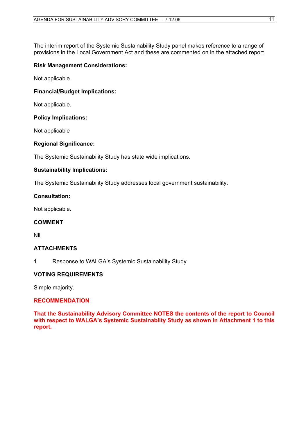The interim report of the Systemic Sustainability Study panel makes reference to a range of provisions in the Local Government Act and these are commented on in the attached report.

# **Risk Management Considerations:**

Not applicable.

# **Financial/Budget Implications:**

Not applicable.

## **Policy Implications:**

Not applicable

## **Regional Significance:**

The Systemic Sustainability Study has state wide implications.

# **Sustainability Implications:**

The Systemic Sustainability Study addresses local government sustainability.

## **Consultation:**

Not applicable.

#### **COMMENT**

Nil.

# **ATTACHMENTS**

1 Response to WALGA's Systemic Sustainability Study

# **VOTING REQUIREMENTS**

Simple majority.

#### **RECOMMENDATION**

**That the Sustainability Advisory Committee NOTES the contents of the report to Council with respect to WALGA's Systemic Sustainablity Study as shown in Attachment 1 to this report.**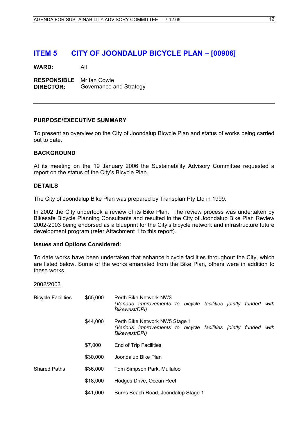# **ITEM 5 CITY OF JOONDALUP BICYCLE PLAN – [00906]**

**WARD:** All

**RESPONSIBLE** Mr Ian Cowie **DIRECTOR:** Governance and Strategy

#### **PURPOSE/EXECUTIVE SUMMARY**

To present an overview on the City of Joondalup Bicycle Plan and status of works being carried out to date.

#### **BACKGROUND**

At its meeting on the 19 January 2006 the Sustainability Advisory Committee requested a report on the status of the City's Bicycle Plan.

#### **DETAILS**

The City of Joondalup Bike Plan was prepared by Transplan Pty Ltd in 1999.

In 2002 the City undertook a review of its Bike Plan. The review process was undertaken by Bikesafe Bicycle Planning Consultants and resulted in the City of Joondalup Bike Plan Review 2002-2003 being endorsed as a blueprint for the City's bicycle network and infrastructure future development program (refer Attachment 1 to this report).

#### **Issues and Options Considered:**

To date works have been undertaken that enhance bicycle facilities throughout the City, which are listed below. Some of the works emanated from the Bike Plan, others were in addition to these works.

#### 2002/2003

| <b>Bicycle Facilities</b> | \$65,000 | Perth Bike Network NW3<br>(Various improvements to bicycle facilities jointly funded with<br>Bikewest/DPI)            |
|---------------------------|----------|-----------------------------------------------------------------------------------------------------------------------|
|                           | \$44,000 | Perth Bike Network NW5 Stage 1<br>(Various improvements to bicycle facilities jointly funded<br>with<br>Bikewest/DPI) |
|                           | \$7,000  | End of Trip Facilities                                                                                                |
|                           | \$30,000 | Joondalup Bike Plan                                                                                                   |
| <b>Shared Paths</b>       | \$36,000 | Tom Simpson Park, Mullaloo                                                                                            |
|                           | \$18,000 | Hodges Drive, Ocean Reef                                                                                              |
|                           | \$41,000 | Burns Beach Road, Joondalup Stage 1                                                                                   |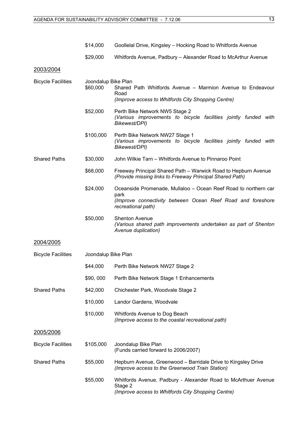|                           | \$14,000                        | Goollelal Drive, Kingsley - Hocking Road to Whitfords Avenue                                                                                                 |  |  |  |  |
|---------------------------|---------------------------------|--------------------------------------------------------------------------------------------------------------------------------------------------------------|--|--|--|--|
|                           | \$29,000                        | Whitfords Avenue, Padbury – Alexander Road to McArthur Avenue                                                                                                |  |  |  |  |
| 2003/2004                 |                                 |                                                                                                                                                              |  |  |  |  |
| <b>Bicycle Facilities</b> | Joondalup Bike Plan<br>\$60,000 | Shared Path Whitfords Avenue - Marmion Avenue to Endeavour<br>Road<br>(Improve access to Whitfords City Shopping Centre)                                     |  |  |  |  |
|                           | \$52,000                        | Perth Bike Network NW5 Stage 2<br>(Various improvements to bicycle facilities jointly funded with<br>Bikewest/DPI)                                           |  |  |  |  |
|                           | \$100,000                       | Perth Bike Network NW27 Stage 1<br>(Various improvements to bicycle facilities jointly funded with<br>Bikewest/DPI)                                          |  |  |  |  |
| <b>Shared Paths</b>       | \$30,000                        | John Wilkie Tarn - Whitfords Avenue to Pinnaroo Point                                                                                                        |  |  |  |  |
|                           | \$68,000                        | Freeway Principal Shared Path – Warwick Road to Hepburn Avenue<br>(Provide missing links to Freeway Principal Shared Path)                                   |  |  |  |  |
|                           | \$24,000                        | Oceanside Promenade, Mullaloo – Ocean Reef Road to northern car<br>park<br>(Improve connectivity between Ocean Reef Road and foreshore<br>recreational path) |  |  |  |  |
|                           | \$50,000                        | <b>Shenton Avenue</b><br>(Various shared path improvements undertaken as part of Shenton<br>Avenue duplication)                                              |  |  |  |  |
| 2004/2005                 |                                 |                                                                                                                                                              |  |  |  |  |
| <b>Bicycle Facilities</b> | Joondalup Bike Plan             |                                                                                                                                                              |  |  |  |  |
|                           | \$44,000                        | Perth Bike Network NW27 Stage 2                                                                                                                              |  |  |  |  |
|                           | \$90,000                        | Perth Bike Network Stage 1 Enhancements                                                                                                                      |  |  |  |  |
| <b>Shared Paths</b>       | \$42,000                        | Chichester Park, Woodvale Stage 2                                                                                                                            |  |  |  |  |
|                           | \$10,000                        | Landor Gardens, Woodvale                                                                                                                                     |  |  |  |  |
|                           | \$10,000                        | Whitfords Avenue to Dog Beach<br>(Improve access to the coastal recreational path)                                                                           |  |  |  |  |
| 2005/2006                 |                                 |                                                                                                                                                              |  |  |  |  |
| <b>Bicycle Facilities</b> | \$105,000                       | Joondalup Bike Plan<br>(Funds carried forward to 2006/2007)                                                                                                  |  |  |  |  |
| <b>Shared Paths</b>       | \$55,000                        | Hepburn Avenue, Greenwood – Barridale Drive to Kingsley Drive<br>(Improve access to the Greenwood Train Station)                                             |  |  |  |  |
|                           | \$55,000                        | Whitfords Avenue, Padbury - Alexander Road to McArthuer Avenue<br>Stage 2<br>(Improve access to Whitfords City Shopping Centre)                              |  |  |  |  |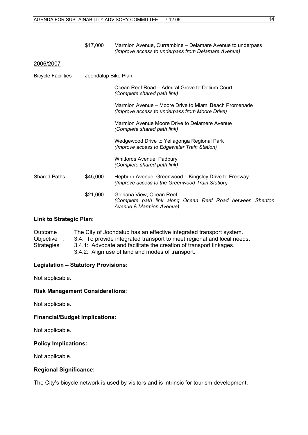|                           | \$17,000            | Marmion Avenue, Currambine – Delamare Avenue to underpass<br>(Improve access to underpass from Delamare Avenue)    |
|---------------------------|---------------------|--------------------------------------------------------------------------------------------------------------------|
| 2006/2007                 |                     |                                                                                                                    |
| <b>Bicycle Facilities</b> | Joondalup Bike Plan |                                                                                                                    |
|                           |                     | Ocean Reef Road – Admiral Grove to Dolium Court<br>(Complete shared path link)                                     |
|                           |                     | Marmion Avenue – Moore Drive to Miami Beach Promenade<br>(Improve access to underpass from Moore Drive)            |
|                           |                     | Marmion Avenue Moore Drive to Delamere Avenue<br>(Complete shared path link)                                       |
|                           |                     | Wedgewood Drive to Yellagonga Regional Park<br>(Improve access to Edgewater Train Station)                         |
|                           |                     | Whitfords Avenue, Padbury<br>(Complete shared path link)                                                           |
| <b>Shared Paths</b>       | \$45,000            | Hepburn Avenue, Greenwood – Kingsley Drive to Freeway<br>(Improve access to the Greenwood Train Station)           |
|                           | \$21,000            | Gloriana View, Ocean Reef<br>(Complete path link along Ocean Reef Road between Shenton<br>Avenue & Marmion Avenue) |

# **Link to Strategic Plan:**

| Outcome :    | The City of Joondalup has an effective integrated transport system.    |
|--------------|------------------------------------------------------------------------|
| Objective :  | 3.4: To provide integrated transport to meet regional and local needs. |
| Strategies : | 3.4.1: Advocate and facilitate the creation of transport linkages.     |
|              | 3.4.2: Align use of land and modes of transport.                       |

# **Legislation – Statutory Provisions:**

Not applicable.

# **Risk Management Considerations:**

Not applicable.

# **Financial/Budget Implications:**

Not applicable.

# **Policy Implications:**

Not applicable.

# **Regional Significance:**

The City's bicycle network is used by visitors and is intrinsic for tourism development.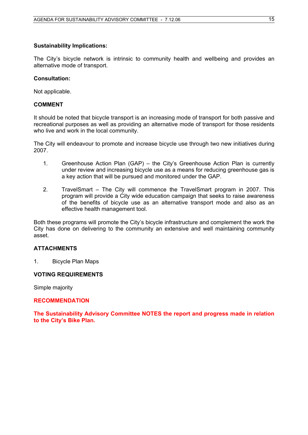#### **Sustainability Implications:**

The City's bicycle network is intrinsic to community health and wellbeing and provides an alternative mode of transport.

#### **Consultation:**

Not applicable.

#### **COMMENT**

It should be noted that bicycle transport is an increasing mode of transport for both passive and recreational purposes as well as providing an alternative mode of transport for those residents who live and work in the local community.

The City will endeavour to promote and increase bicycle use through two new initiatives during 2007.

- 1. Greenhouse Action Plan (GAP) the City's Greenhouse Action Plan is currently under review and increasing bicycle use as a means for reducing greenhouse gas is a key action that will be pursued and monitored under the GAP.
- 2. TravelSmart The City will commence the TravelSmart program in 2007. This program will provide a City wide education campaign that seeks to raise awareness of the benefits of bicycle use as an alternative transport mode and also as an effective health management tool.

Both these programs will promote the City's bicycle infrastructure and complement the work the City has done on delivering to the community an extensive and well maintaining community asset.

#### **ATTACHMENTS**

1. Bicycle Plan Maps

#### **VOTING REQUIREMENTS**

Simple majority

#### **RECOMMENDATION**

**The Sustainability Advisory Committee NOTES the report and progress made in relation to the City's Bike Plan.**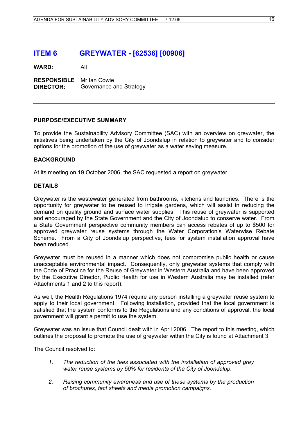# **ITEM 6 GREYWATER - [62536] [00906]**

**WARD:** All

**RESPONSIBLE** Mr Ian Cowie **DIRECTOR:** Governance and Strategy

## **PURPOSE/EXECUTIVE SUMMARY**

To provide the Sustainability Advisory Committee (SAC) with an overview on greywater, the initiatives being undertaken by the City of Joondalup in relation to greywater and to consider options for the promotion of the use of greywater as a water saving measure.

## **BACKGROUND**

At its meeting on 19 October 2006, the SAC requested a report on greywater.

## **DETAILS**

Greywater is the wastewater generated from bathrooms, kitchens and laundries. There is the opportunity for greywater to be reused to irrigate gardens, which will assist in reducing the demand on quality ground and surface water supplies. This reuse of greywater is supported and encouraged by the State Government and the City of Joondalup to conserve water. From a State Government perspective community members can access rebates of up to \$500 for approved greywater reuse systems through the Water Corporation's Waterwise Rebate Scheme. From a City of Joondalup perspective, fees for system installation approval have been reduced.

Greywater must be reused in a manner which does not compromise public health or cause unacceptable environmental impact. Consequently, only greywater systems that comply with the Code of Practice for the Reuse of Greywater in Western Australia and have been approved by the Executive Director, Public Health for use in Western Australia may be installed (refer Attachments 1 and 2 to this report).

As well, the Health Regulations 1974 require any person installing a greywater reuse system to apply to their local government. Following installation, provided that the local government is satisfied that the system conforms to the Regulations and any conditions of approval, the local government will grant a permit to use the system.

Greywater was an issue that Council dealt with in April 2006. The report to this meeting, which outlines the proposal to promote the use of greywater within the City is found at Attachment 3.

The Council resolved to:

- *1. The reduction of the fees associated with the installation of approved grey water reuse systems by 50% for residents of the City of Joondalup.*
- *2. Raising community awareness and use of these systems by the production of brochures, fact sheets and media promotion campaigns.*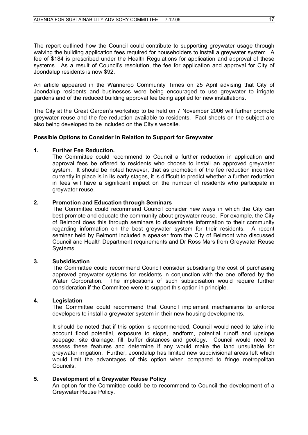The report outlined how the Council could contribute to supporting greywater usage through waiving the building application fees required for householders to install a greywater system. A fee of \$184 is prescribed under the Health Regulations for application and approval of these systems. As a result of Council's resolution, the fee for application and approval for City of Joondalup residents is now \$92.

An article appeared in the Wanneroo Community Times on 25 April advising that City of Joondalup residents and businesses were being encouraged to use greywater to irrigate gardens and of the reduced building approval fee being applied for new installations.

The City at the Great Garden's workshop to be held on 7 November 2006 will further promote greywater reuse and the fee reduction available to residents. Fact sheets on the subject are also being developed to be included on the City's website.

# **Possible Options to Consider in Relation to Support for Greywater**

## **1. Further Fee Reduction.**

The Committee could recommend to Council a further reduction in application and approval fees be offered to residents who choose to install an approved greywater system. It should be noted however, that as promotion of the fee reduction incentive currently in place is in its early stages, it is difficult to predict whether a further reduction in fees will have a significant impact on the number of residents who participate in greywater reuse.

## **2. Promotion and Education through Seminars**

The Committee could recommend Council consider new ways in which the City can best promote and educate the community about greywater reuse. For example, the City of Belmont does this through seminars to disseminate information to their community regarding information on the best greywater system for their residents. A recent seminar held by Belmont included a speaker from the City of Belmont who discussed Council and Health Department requirements and Dr Ross Mars from Greywater Reuse Systems.

#### **3. Subsidisation**

The Committee could recommend Council consider subsidising the cost of purchasing approved greywater systems for residents in conjunction with the one offered by the Water Corporation. The implications of such subsidisation would require further consideration if the Committee were to support this option in principle.

#### **4. Legislation**

The Committee could recommend that Council implement mechanisms to enforce developers to install a greywater system in their new housing developments.

It should be noted that if this option is recommended, Council would need to take into account flood potential, exposure to slope, landform, potential runoff and upslope seepage, site drainage, fill, buffer distances and geology. Council would need to assess these features and determine if any would make the land unsuitable for greywater irrigation. Further, Joondalup has limited new subdivisional areas left which would limit the advantages of this option when compared to fringe metropolitan Councils.

#### **5. Development of a Greywater Reuse Policy**

An option for the Committee could be to recommend to Council the development of a Greywater Reuse Policy.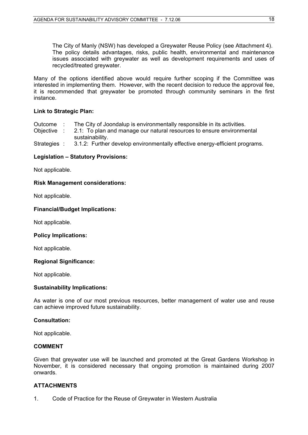The City of Manly (NSW) has developed a Greywater Reuse Policy (see Attachment 4). The policy details advantages, risks, public health, environmental and maintenance issues associated with greywater as well as development requirements and uses of recycled/treated greywater.

Many of the options identified above would require further scoping if the Committee was interested in implementing them. However, with the recent decision to reduce the approval fee, it is recommended that greywater be promoted through community seminars in the first instance.

# **Link to Strategic Plan:**

| Outcome |  |  | The City of Joondalup is environmentally responsible in its activities. |  |  |
|---------|--|--|-------------------------------------------------------------------------|--|--|
|         |  |  |                                                                         |  |  |

Objective : 2.1: To plan and manage our natural resources to ensure environmental sustainability.

Strategies : 3.1.2: Further develop environmentally effective energy-efficient programs.

# **Legislation – Statutory Provisions:**

Not applicable.

## **Risk Management considerations:**

Not applicable.

# **Financial/Budget Implications:**

Not applicable.

#### **Policy Implications:**

Not applicable.

# **Regional Significance:**

Not applicable.

# **Sustainability Implications:**

As water is one of our most previous resources, better management of water use and reuse can achieve improved future sustainability.

# **Consultation:**

Not applicable.

# **COMMENT**

Given that greywater use will be launched and promoted at the Great Gardens Workshop in November, it is considered necessary that ongoing promotion is maintained during 2007 onwards.

# **ATTACHMENTS**

1. Code of Practice for the Reuse of Greywater in Western Australia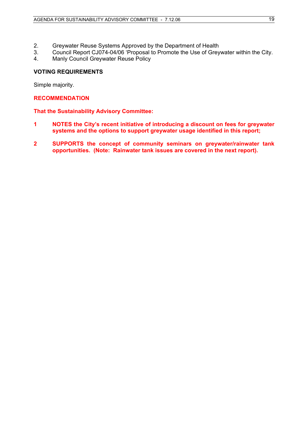- 2. Greywater Reuse Systems Approved by the Department of Health
- 3. Council Report CJ074-04/06 'Proposal to Promote the Use of Greywater within the City.
- 4. Manly Council Greywater Reuse Policy

# **VOTING REQUIREMENTS**

Simple majority.

# **RECOMMENDATION**

# **That the Sustainability Advisory Committee:**

- **1 NOTES the City's recent initiative of introducing a discount on fees for greywater systems and the options to support greywater usage identified in this report;**
- **2 SUPPORTS the concept of community seminars on greywater/rainwater tank opportunities. (Note: Rainwater tank issues are covered in the next report).**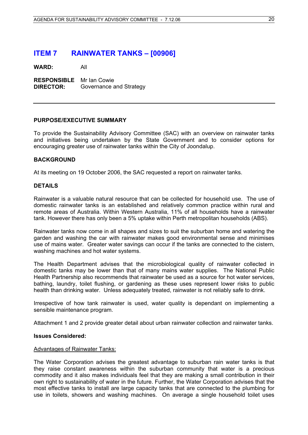# **ITEM 7 RAINWATER TANKS – [00906]**

**WARD:** All

**RESPONSIBLE** Mr Ian Cowie **DIRECTOR:** Governance and Strategy

#### **PURPOSE/EXECUTIVE SUMMARY**

To provide the Sustainability Advisory Committee (SAC) with an overview on rainwater tanks and initiatives being undertaken by the State Government and to consider options for encouraging greater use of rainwater tanks within the City of Joondalup.

## **BACKGROUND**

At its meeting on 19 October 2006, the SAC requested a report on rainwater tanks.

## **DETAILS**

Rainwater is a valuable natural resource that can be collected for household use. The use of domestic rainwater tanks is an established and relatively common practice within rural and remote areas of Australia. Within Western Australia, 11% of all households have a rainwater tank. However there has only been a 5% uptake within Perth metropolitan households (ABS).

Rainwater tanks now come in all shapes and sizes to suit the suburban home and watering the garden and washing the car with rainwater makes good environmental sense and minimises use of mains water. Greater water savings can occur if the tanks are connected to the cistern, washing machines and hot water systems.

The Health Department advises that the microbiological quality of rainwater collected in domestic tanks may be lower than that of many mains water supplies. The National Public Health Partnership also recommends that rainwater be used as a source for hot water services, bathing, laundry, toilet flushing, or gardening as these uses represent lower risks to public health than drinking water. Unless adequately treated, rainwater is not reliably safe to drink.

Irrespective of how tank rainwater is used, water quality is dependant on implementing a sensible maintenance program.

Attachment 1 and 2 provide greater detail about urban rainwater collection and rainwater tanks.

#### **Issues Considered:**

#### Advantages of Rainwater Tanks:

The Water Corporation advises the greatest advantage to suburban rain water tanks is that they raise constant awareness within the suburban community that water is a precious commodity and it also makes individuals feel that they are making a small contribution in their own right to sustainability of water in the future. Further, the Water Corporation advises that the most effective tanks to install are large capacity tanks that are connected to the plumbing for use in toilets, showers and washing machines. On average a single household toilet uses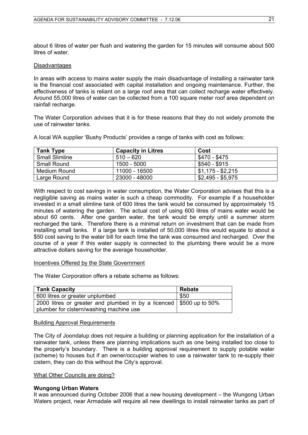about 6 litres of water per flush and watering the garden for 15 minutes will consume about 500 litres of water.

#### **Disadvantages**

In areas with access to mains water supply the main disadvantage of installing a rainwater tank is the financial cost associated with capital installation and ongoing maintenance. Further, the effectiveness of tanks is reliant on a large roof area that can collect recharge water effectively. Around 55,000 litres of water can be collected from a 100 square meter roof area dependent on rainfall recharge.

The Water Corporation advises that it is for these reasons that they do not widely promote the use of rainwater tanks.

A local WA supplier 'Bushy Products' provides a range of tanks with cost as follows:

| <b>Tank Type</b>      | <b>Capacity in Litres</b> | Cost                    |
|-----------------------|---------------------------|-------------------------|
| <b>Small Slimline</b> | $510 - 620$               | \$470 - \$475           |
| <b>Small Round</b>    | 1500 - 5000               | \$540 - \$915           |
| Medium Round          | 11000 - 16500             | $1$ , \$1,175 - \$2,215 |
| Large Round           | 23000 - 48000             | \$2,495 - \$5,975       |

With respect to cost savings in water consumption, the Water Corporation advises that this is a negligible saving as mains water is such a cheap commodity. For example if a householder invested in a small slimline tank of 600 litres the tank would be consumed by approximately 15 minutes of watering the garden. The actual cost of using 600 litres of mains water would be about 60 cents. After one garden water, the tank would be empty until a summer storm recharged the tank. Therefore there is a minimal return on investment that can be made from installing small tanks. If a large tank is installed of 50,000 litres this would equate to about a \$50 cost saving to the water bill for each time the tank was consumed and recharged. Over the course of a year if this water supply is connected to the plumbing there would be a more attractive dollars saving for the average householder.

#### Incentives Offered by the State Government

The Water Corporation offers a rebate scheme as follows:

| <b>Tank Capacity</b>                                                                                           | <b>Rebate</b> |
|----------------------------------------------------------------------------------------------------------------|---------------|
| 600 litres or greater unplumbed                                                                                | \$50          |
| 2000 litres or greater and plumbed in by a licenced \$500 up to 50%<br>plumber for cistern/washing machine use |               |

#### Building Approval Requirements

The City of Joondalup does not require a building or planning application for the installation of a rainwater tank, unless there are planning implications such as one being installed too close to the property's boundary. There is a building approval requirement to supply potable water (scheme) to houses but if an owner/occupier wishes to use a rainwater tank to re-supply their cistern, they can do this without the City's approval.

#### What Other Councils are doing?

# **Wungong Urban Waters**

It was announced during October 2006 that a new housing development – the Wungong Urban Waters project, near Armadale will require all new dwellings to install rainwater tanks as part of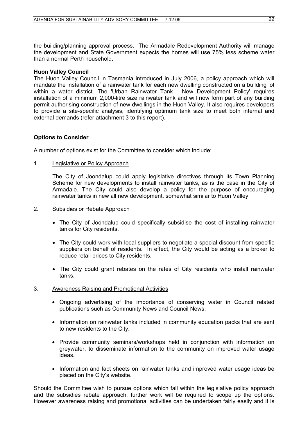the building/planning approval process. The Armadale Redevelopment Authority will manage the development and State Government expects the homes will use 75% less scheme water than a normal Perth household.

#### **Huon Valley Council**

The Huon Valley Council in Tasmania introduced in July 2006, a policy approach which will mandate the installation of a rainwater tank for each new dwelling constructed on a building lot within a water district. The 'Urban Rainwater Tank - New Development Policy' requires installation of a minimum 2,000-litre size rainwater tank and will now form part of any building permit authorising construction of new dwellings in the Huon Valley. It also requires developers to provide a site-specific analysis, identifying optimum tank size to meet both internal and external demands (refer attachment 3 to this report).

## **Options to Consider**

A number of options exist for the Committee to consider which include:

1. Legislative or Policy Approach

The City of Joondalup could apply legislative directives through its Town Planning Scheme for new developments to install rainwater tanks, as is the case in the City of Armadale. The City could also develop a policy for the purpose of encouraging rainwater tanks in new all new development, somewhat similar to Huon Valley.

#### 2. Subsidies or Rebate Approach

- The City of Joondalup could specifically subsidise the cost of installing rainwater tanks for City residents.
- The City could work with local suppliers to negotiate a special discount from specific suppliers on behalf of residents. In effect, the City would be acting as a broker to reduce retail prices to City residents.
- The City could grant rebates on the rates of City residents who install rainwater tanks.

#### 3. Awareness Raising and Promotional Activities

- Ongoing advertising of the importance of conserving water in Council related publications such as Community News and Council News.
- Information on rainwater tanks included in community education packs that are sent to new residents to the City.
- Provide community seminars/workshops held in conjunction with information on greywater, to disseminate information to the community on improved water usage ideas.
- Information and fact sheets on rainwater tanks and improved water usage ideas be placed on the City's website.

Should the Committee wish to pursue options which fall within the legislative policy approach and the subsidies rebate approach, further work will be required to scope up the options. However awareness raising and promotional activities can be undertaken fairly easily and it is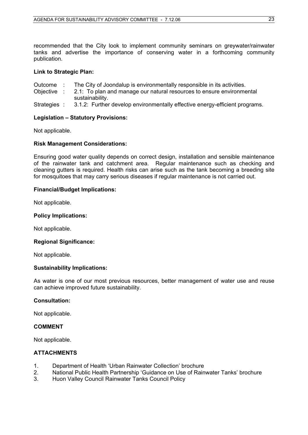recommended that the City look to implement community seminars on greywater/rainwater tanks and advertise the importance of conserving water in a forthcoming community publication.

# **Link to Strategic Plan:**

- Outcome : The City of Joondalup is environmentally responsible in its activities.
- Objective : 2.1: To plan and manage our natural resources to ensure environmental sustainability.
- Strategies : 3.1.2: Further develop environmentally effective energy-efficient programs.

## **Legislation – Statutory Provisions:**

Not applicable.

## **Risk Management Considerations:**

Ensuring good water quality depends on correct design, installation and sensible maintenance of the rainwater tank and catchment area. Regular maintenance such as checking and cleaning gutters is required. Health risks can arise such as the tank becoming a breeding site for mosquitoes that may carry serious diseases if regular maintenance is not carried out.

## **Financial/Budget Implications:**

Not applicable.

#### **Policy Implications:**

Not applicable.

# **Regional Significance:**

Not applicable.

# **Sustainability Implications:**

As water is one of our most previous resources, better management of water use and reuse can achieve improved future sustainability.

# **Consultation:**

Not applicable.

# **COMMENT**

Not applicable.

# **ATTACHMENTS**

- 1. Department of Health 'Urban Rainwater Collection' brochure
- 2. National Public Health Partnership 'Guidance on Use of Rainwater Tanks' brochure
- 3. Huon Valley Council Rainwater Tanks Council Policy